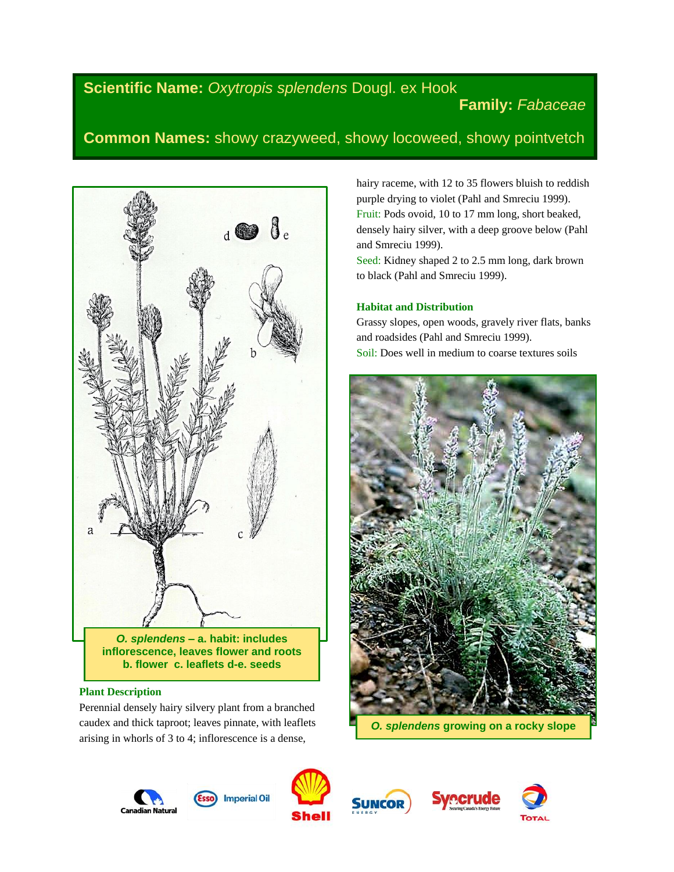# **Scientific Name:** *Oxytropis splendens* Dougl. ex Hook

# **Family:** *Fabaceae*

# **Common Names:** showy crazyweed, showy locoweed, showy pointvetch



# **Plant Description**

Perennial densely hairy silvery plant from a branched caudex and thick taproot; leaves pinnate, with leaflets arising in whorls of 3 to 4; inflorescence is a dense,

hairy raceme, with 12 to 35 flowers bluish to reddish purple drying to violet (Pahl and Smreciu 1999). Fruit: Pods ovoid, 10 to 17 mm long, short beaked, densely hairy silver, with a deep groove below (Pahl and Smreciu 1999).

Seed: Kidney shaped 2 to 2.5 mm long, dark brown to black (Pahl and Smreciu 1999).

# **Habitat and Distribution**

Grassy slopes, open woods, gravely river flats, banks and roadsides (Pahl and Smreciu 1999). Soil: Does well in medium to coarse textures soils



*O. splendens* **growing on a rocky slope**









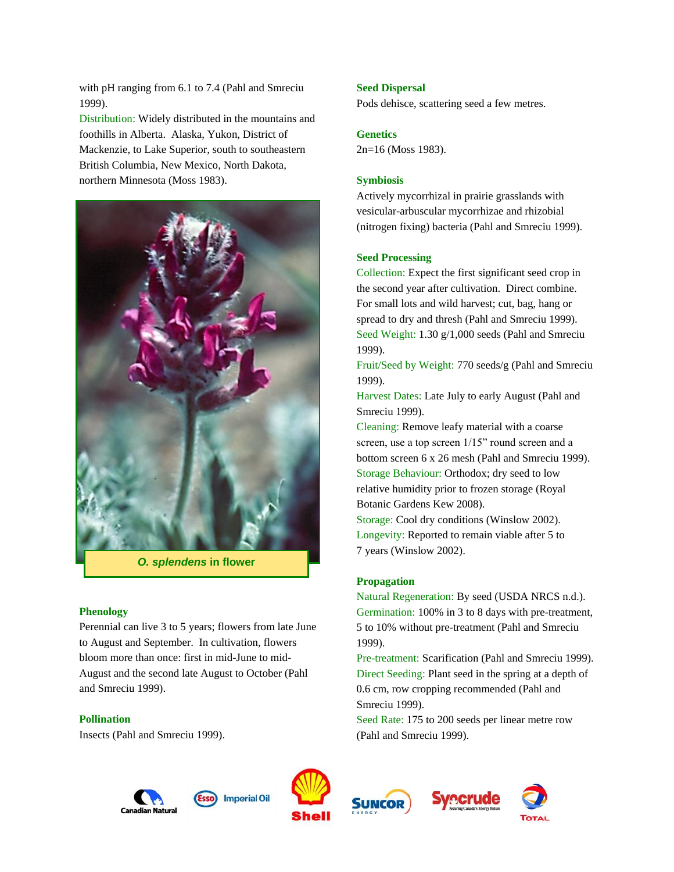with pH ranging from 6.1 to 7.4 (Pahl and Smreciu 1999).

Distribution: Widely distributed in the mountains and foothills in Alberta. Alaska, Yukon, District of Mackenzie, to Lake Superior, south to southeastern British Columbia, New Mexico, North Dakota, northern Minnesota (Moss 1983).



*O. splendens* **in flower**

#### **Phenology**

Perennial can live 3 to 5 years; flowers from late June to August and September. In cultivation, flowers bloom more than once: first in mid-June to mid-August and the second late August to October (Pahl and Smreciu 1999).

## **Pollination**

Insects (Pahl and Smreciu 1999).

#### **Seed Dispersal**

Pods dehisce, scattering seed a few metres.

## **Genetics**

2n=16 (Moss 1983).

#### **Symbiosis**

Actively mycorrhizal in prairie grasslands with vesicular-arbuscular mycorrhizae and rhizobial (nitrogen fixing) bacteria (Pahl and Smreciu 1999).

#### **Seed Processing**

Collection: Expect the first significant seed crop in the second year after cultivation. Direct combine. For small lots and wild harvest; cut, bag, hang or spread to dry and thresh (Pahl and Smreciu 1999). Seed Weight: 1.30 g/1,000 seeds (Pahl and Smreciu 1999).

Fruit/Seed by Weight: 770 seeds/g (Pahl and Smreciu 1999).

Harvest Dates: Late July to early August (Pahl and Smreciu 1999).

Cleaning: Remove leafy material with a coarse screen, use a top screen 1/15" round screen and a bottom screen 6 x 26 mesh (Pahl and Smreciu 1999). Storage Behaviour: Orthodox; dry seed to low relative humidity prior to frozen storage (Royal Botanic Gardens Kew 2008).

Storage: Cool dry conditions (Winslow 2002). Longevity: Reported to remain viable after 5 to 7 years (Winslow 2002).

#### **Propagation**

Natural Regeneration: By seed (USDA NRCS n.d.). Germination: 100% in 3 to 8 days with pre-treatment, 5 to 10% without pre-treatment (Pahl and Smreciu 1999).

Pre-treatment: Scarification (Pahl and Smreciu 1999). Direct Seeding: Plant seed in the spring at a depth of 0.6 cm, row cropping recommended (Pahl and Smreciu 1999).

Seed Rate: 175 to 200 seeds per linear metre row (Pahl and Smreciu 1999).







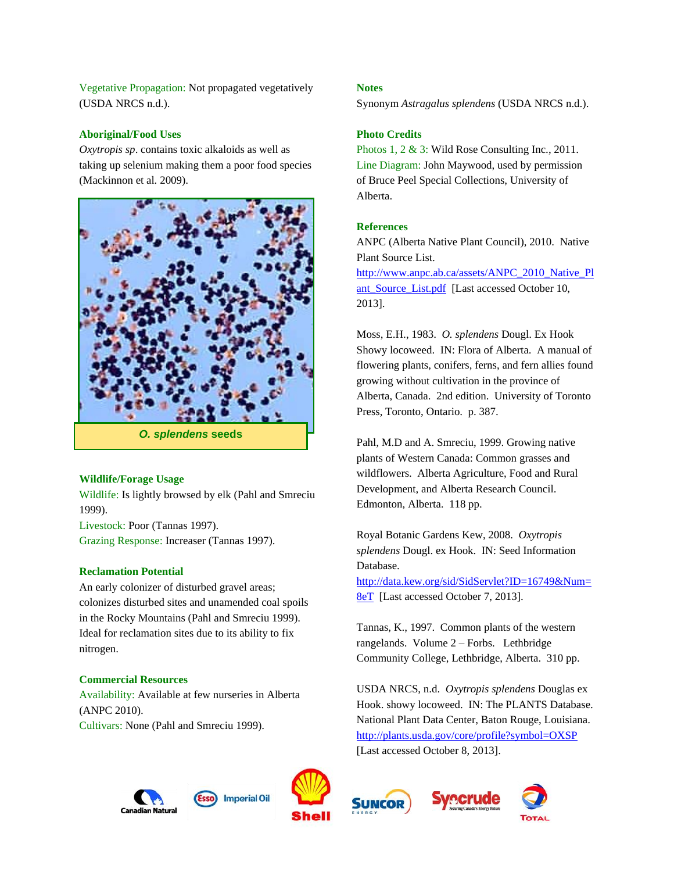Vegetative Propagation: Not propagated vegetatively (USDA NRCS n.d.).

## **Aboriginal/Food Uses**

*Oxytropis sp*. contains toxic alkaloids as well as taking up selenium making them a poor food species (Mackinnon et al. 2009).



# **Wildlife/Forage Usage**

Wildlife: Is lightly browsed by elk (Pahl and Smreciu 1999).

Livestock: Poor (Tannas 1997). Grazing Response: Increaser (Tannas 1997).

#### **Reclamation Potential**

An early colonizer of disturbed gravel areas; colonizes disturbed sites and unamended coal spoils in the Rocky Mountains (Pahl and Smreciu 1999). Ideal for reclamation sites due to its ability to fix nitrogen.

## **Commercial Resources**

Availability: Available at few nurseries in Alberta (ANPC 2010). Cultivars: None (Pahl and Smreciu 1999).

### **Notes**

Synonym *Astragalus splendens* (USDA NRCS n.d.).

## **Photo Credits**

Photos 1, 2 & 3: Wild Rose Consulting Inc., 2011. Line Diagram: John Maywood, used by permission of Bruce Peel Special Collections, University of Alberta.

### **References**

ANPC (Alberta Native Plant Council), 2010. Native Plant Source List.

[http://www.anpc.ab.ca/assets/ANPC\\_2010\\_Native\\_Pl](http://www.anpc.ab.ca/assets/ANPC_2010_Native_Plant_Source_List.pdf) [ant\\_Source\\_List.pdf](http://www.anpc.ab.ca/assets/ANPC_2010_Native_Plant_Source_List.pdf) [Last accessed October 10, 2013].

Moss, E.H., 1983. *O. splendens* Dougl. Ex Hook Showy locoweed. IN: Flora of Alberta. A manual of flowering plants, conifers, ferns, and fern allies found growing without cultivation in the province of Alberta, Canada. 2nd edition. University of Toronto Press, Toronto, Ontario. p. 387.

Pahl, M.D and A. Smreciu, 1999. Growing native plants of Western Canada: Common grasses and wildflowers. Alberta Agriculture, Food and Rural Development, and Alberta Research Council. Edmonton, Alberta. 118 pp.

Royal Botanic Gardens Kew, 2008. *Oxytropis splendens* Dougl. ex Hook. IN: Seed Information Database.

[http://data.kew.org/sid/SidServlet?ID=16749&Num=](http://data.kew.org/sid/SidServlet?ID=16749&Num=8eT) [8eT](http://data.kew.org/sid/SidServlet?ID=16749&Num=8eT) [Last accessed October 7, 2013].

Tannas, K., 1997. Common plants of the western rangelands. Volume 2 – Forbs. Lethbridge Community College, Lethbridge, Alberta. 310 pp.

USDA NRCS, n.d. *Oxytropis splendens* Douglas ex Hook. showy locoweed. IN: The PLANTS Database. National Plant Data Center, Baton Rouge, Louisiana. <http://plants.usda.gov/core/profile?symbol=OXSP> [Last accessed October 8, 2013].







![](_page_2_Picture_27.jpeg)